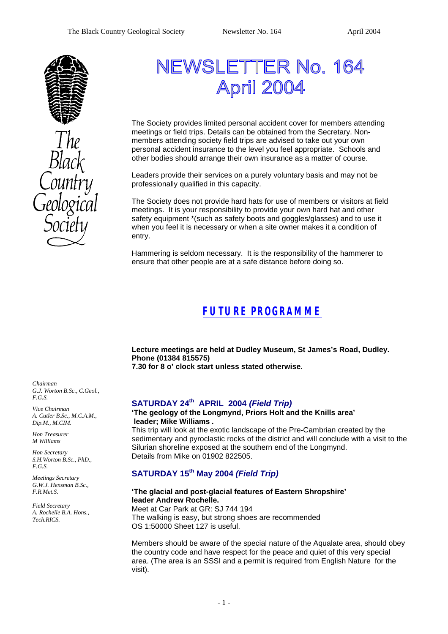

# NEWSLETTER No. 164 April 2004

The Society provides limited personal accident cover for members attending meetings or field trips. Details can be obtained from the Secretary. Nonmembers attending society field trips are advised to take out your own personal accident insurance to the level you feel appropriate. Schools and other bodies should arrange their own insurance as a matter of course.

Leaders provide their services on a purely voluntary basis and may not be professionally qualified in this capacity.

The Society does not provide hard hats for use of members or visitors at field meetings. It is your responsibility to provide your own hard hat and other safety equipment \*(such as safety boots and goggles/glasses) and to use it when you feel it is necessary or when a site owner makes it a condition of entry.

Hammering is seldom necessary. It is the responsibility of the hammerer to ensure that other people are at a safe distance before doing so.

# *FUTURE PROGRAMME*

**Lecture meetings are held at Dudley Museum, St James's Road, Dudley. Phone (01384 815575) 7.30 for 8 o' clock start unless stated otherwise.**

# **SATURDAY 24th APRIL 2004** *(Field Trip)*

#### **'The geology of the Longmynd, Priors Holt and the Knills area' leader; Mike Williams .**

This trip will look at the exotic landscape of the Pre-Cambrian created by the sedimentary and pyroclastic rocks of the district and will conclude with a visit to the Silurian shoreline exposed at the southern end of the Longmynd. Details from Mike on 01902 822505.

### **SATURDAY 15th May 2004** *(Field Trip)*

#### **'The glacial and post-glacial features of Eastern Shropshire' leader Andrew Rochelle.**

Meet at Car Park at GR: SJ 744 194 The walking is easy, but strong shoes are recommended OS 1:50000 Sheet 127 is useful.

Members should be aware of the special nature of the Aqualate area, should obey the country code and have respect for the peace and quiet of this very special area. (The area is an SSSI and a permit is required from English Nature for the visit).

*Chairman G.J. Worton B.Sc., C.Geol., F.G.S.*

*Vice Chairman A. Cutler B.Sc., M.C.A.M., Dip.M., M.CIM.*

*Hon Treasurer M Williams* 

*Hon Secretary S.H.Worton B.Sc., PhD., F.G.S.*

*Meetings Secretary G.W.J. Hensman B.Sc., F.R.Met.S.*

*Field Secretary A. Rochelle B.A. Hons., Tech.RICS.*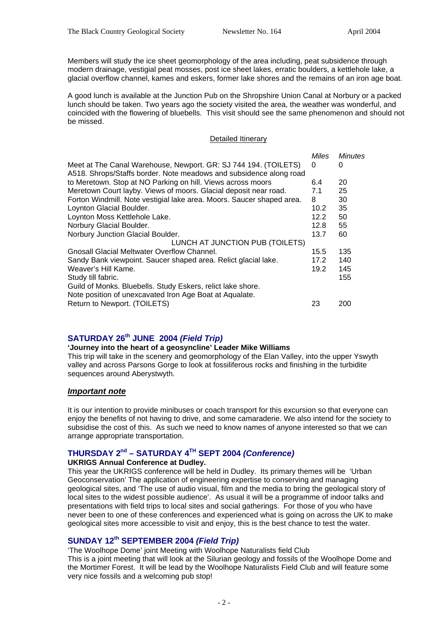Members will study the ice sheet geomorphology of the area including, peat subsidence through modern drainage, vestigial peat mosses, post ice sheet lakes, erratic boulders, a kettlehole lake, a glacial overflow channel, kames and eskers, former lake shores and the remains of an iron age boat.

A good lunch is available at the Junction Pub on the Shropshire Union Canal at Norbury or a packed lunch should be taken. Two years ago the society visited the area, the weather was wonderful, and coincided with the flowering of bluebells. This visit should see the same phenomenon and should not be missed.

#### Detailed Itinerary

|                                                                                                                                       | Miles | Minutes |
|---------------------------------------------------------------------------------------------------------------------------------------|-------|---------|
| Meet at The Canal Warehouse, Newport. GR: SJ 744 194. (TOILETS)<br>A518. Shrops/Staffs border. Note meadows and subsidence along road | 0     | 0       |
| to Meretown. Stop at NO Parking on hill. Views across moors                                                                           | 6.4   | 20      |
| Meretown Court layby. Views of moors. Glacial deposit near road.                                                                      | 7.1   | 25      |
| Forton Windmill. Note vestigial lake area. Moors. Saucer shaped area.                                                                 | 8     | 30      |
| Loynton Glacial Boulder.                                                                                                              | 10.2  | 35      |
| Loynton Moss Kettlehole Lake.                                                                                                         | 12.2  | 50      |
| Norbury Glacial Boulder.                                                                                                              | 12.8  | 55      |
| Norbury Junction Glacial Boulder.                                                                                                     | 13.7  | 60      |
| LUNCH AT JUNCTION PUB (TOILETS)                                                                                                       |       |         |
| Gnosall Glacial Meltwater Overflow Channel.                                                                                           | 15.5  | 135     |
| Sandy Bank viewpoint. Saucer shaped area. Relict glacial lake.                                                                        | 17.2  | 140     |
| Weaver's Hill Kame.                                                                                                                   | 19.2  | 145     |
| Study till fabric.                                                                                                                    |       | 155     |
| Guild of Monks. Bluebells. Study Eskers, relict lake shore.<br>Note position of unexcavated Iron Age Boat at Aqualate.                |       |         |
| Return to Newport. (TOILETS)                                                                                                          | 23    | 200     |

# **SATURDAY 26th JUNE 2004** *(Field Trip)*

#### **'Journey into the heart of a geosyncline' Leader Mike Williams**

This trip will take in the scenery and geomorphology of the Elan Valley, into the upper Yswyth valley and across Parsons Gorge to look at fossiliferous rocks and finishing in the turbidite sequences around Aberystwyth.

#### *Important note*

It is our intention to provide minibuses or coach transport for this excursion so that everyone can enjoy the benefits of not having to drive, and some camaraderie. We also intend for the society to subsidise the cost of this. As such we need to know names of anyone interested so that we can arrange appropriate transportation.

### **THURSDAY 2nd – SATURDAY 4TH SEPT 2004** *(Conference)*

#### **UKRIGS Annual Conference at Dudley.**

This year the UKRIGS conference will be held in Dudley. Its primary themes will be 'Urban Geoconservation' The application of engineering expertise to conserving and managing geological sites, and 'The use of audio visual, film and the media to bring the geological story of local sites to the widest possible audience'. As usual it will be a programme of indoor talks and presentations with field trips to local sites and social gatherings. For those of you who have never been to one of these conferences and experienced what is going on across the UK to make geological sites more accessible to visit and enjoy, this is the best chance to test the water.

### **SUNDAY 12th SEPTEMBER 2004** *(Field Trip)*

'The Woolhope Dome' joint Meeting with Woolhope Naturalists field Club

This is a joint meeting that will look at the Silurian geology and fossils of the Woolhope Dome and the Mortimer Forest. It will be lead by the Woolhope Naturalists Field Club and will feature some very nice fossils and a welcoming pub stop!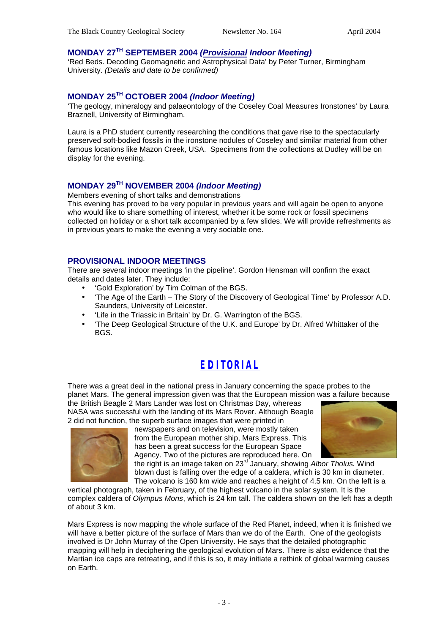### **MONDAY 27TH SEPTEMBER 2004** *(Provisional Indoor Meeting)*

'Red Beds. Decoding Geomagnetic and Astrophysical Data' by Peter Turner, Birmingham University. *(Details and date to be confirmed)*

### **MONDAY 25TH OCTOBER 2004** *(Indoor Meeting)*

'The geology, mineralogy and palaeontology of the Coseley Coal Measures Ironstones' by Laura Braznell, University of Birmingham.

Laura is a PhD student currently researching the conditions that gave rise to the spectacularly preserved soft-bodied fossils in the ironstone nodules of Coseley and similar material from other famous locations like Mazon Creek, USA. Specimens from the collections at Dudley will be on display for the evening.

# **MONDAY 29TH NOVEMBER 2004** *(Indoor Meeting)*

Members evening of short talks and demonstrations

This evening has proved to be very popular in previous years and will again be open to anyone who would like to share something of interest, whether it be some rock or fossil specimens collected on holiday or a short talk accompanied by a few slides. We will provide refreshments as in previous years to make the evening a very sociable one.

### **PROVISIONAL INDOOR MEETINGS**

There are several indoor meetings 'in the pipeline'. Gordon Hensman will confirm the exact details and dates later. They include:

- 'Gold Exploration' by Tim Colman of the BGS.
- 'The Age of the Earth The Story of the Discovery of Geological Time' by Professor A.D. Saunders, University of Leicester.
- 'Life in the Triassic in Britain' by Dr. G. Warrington of the BGS.
- 'The Deep Geological Structure of the U.K. and Europe' by Dr. Alfred Whittaker of the BGS.

# *EDITORIAL*

There was a great deal in the national press in January concerning the space probes to the planet Mars. The general impression given was that the European mission was a failure because

the British Beagle 2 Mars Lander was lost on Christmas Day, whereas NASA was successful with the landing of its Mars Rover. Although Beagle 2 did not function, the superb surface images that were printed in



newspapers and on television, were mostly taken from the European mother ship, Mars Express. This has been a great success for the European Space Agency. Two of the pictures are reproduced here. On



the right is an image taken on 23<sup>rd</sup> January, showing Albor Tholus. Wind blown dust is falling over the edge of a caldera, which is 30 km in diameter. The volcano is 160 km wide and reaches a height of 4.5 km. On the left is a

vertical photograph, taken in February, of the highest volcano in the solar system. It is the complex caldera of *Olympus Mons*, which is 24 km tall. The caldera shown on the left has a depth of about 3 km.

Mars Express is now mapping the whole surface of the Red Planet, indeed, when it is finished we will have a better picture of the surface of Mars than we do of the Earth. One of the geologists involved is Dr John Murray of the Open University. He says that the detailed photographic mapping will help in deciphering the geological evolution of Mars. There is also evidence that the Martian ice caps are retreating, and if this is so, it may initiate a rethink of global warming causes on Earth.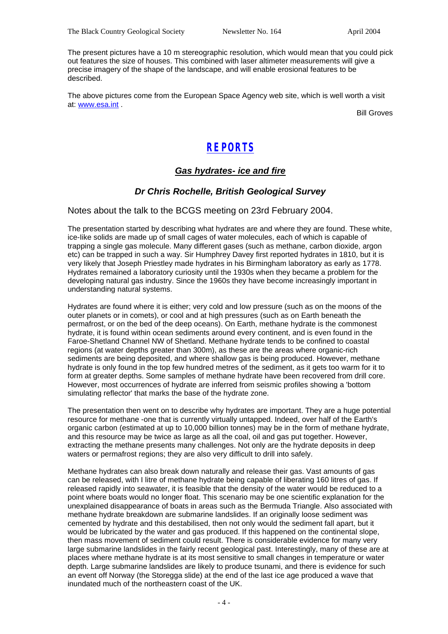The present pictures have a 10 m stereographic resolution, which would mean that you could pick out features the size of houses. This combined with laser altimeter measurements will give a precise imagery of the shape of the landscape, and will enable erosional features to be described.

The above pictures come from the European Space Agency web site, which is well worth a visit at: www.esa.int .

Bill Groves

# *REPORTS*

# *Gas hydrates- ice and fire*

### *Dr Chris Rochelle, British Geological Survey*

Notes about the talk to the BCGS meeting on 23rd February 2004.

The presentation started by describing what hydrates are and where they are found. These white, ice-Iike solids are made up of small cages of water molecules, each of which is capable of trapping a single gas molecule. Many different gases (such as methane, carbon dioxide, argon etc) can be trapped in such a way. Sir Humphrey Davey first reported hydrates in 1810, but it is very likely that Joseph Priestley made hydrates in his Birmingham laboratory as early as 1778. Hydrates remained a laboratory curiosity until the 1930s when they became a problem for the developing natural gas industry. Since the 1960s they have become increasingly important in understanding natural systems.

Hydrates are found where it is either; very cold and low pressure (such as on the moons of the outer planets or in comets), or cool and at high pressures (such as on Earth beneath the permafrost, or on the bed of the deep oceans). On Earth, methane hydrate is the commonest hydrate, it is found within ocean sediments around every continent, and is even found in the Faroe-Shetland Channel NW of Shetland. Methane hydrate tends to be confined to coastal regions (at water depths greater than 300m), as these are the areas where organic-rich sediments are being deposited, and where shallow gas is being produced. However, methane hydrate is only found in the top few hundred metres of the sediment, as it gets too warm for it to form at greater depths. Some samples of methane hydrate have been recovered from drill core. However, most occurrences of hydrate are inferred from seismic profiles showing a 'bottom simulating reflector' that marks the base of the hydrate zone.

The presentation then went on to describe why hydrates are important. They are a huge potential resource for methane -one that is currently virtually untapped. Indeed, over half of the Earth's organic carbon (estimated at up to 10,000 billion tonnes) may be in the form of methane hydrate, and this resource may be twice as large as all the coal, oil and gas put together. However, extracting the methane presents many challenges. Not only are the hydrate deposits in deep waters or permafrost regions; they are also very difficult to drill into safely.

Methane hydrates can also break down naturally and release their gas. Vast amounts of gas can be released, with I litre of methane hydrate being capable of liberating 160 litres of gas. If released rapidly into seawater, it is feasible that the density of the water would be reduced to a point where boats would no longer float. This scenario may be one scientific explanation for the unexplained disappearance of boats in areas such as the Bermuda Triangle. Also associated with methane hydrate breakdown are submarine landslides. If an originally loose sediment was cemented by hydrate and this destabilised, then not only would the sediment fall apart, but it would be lubricated by the water and gas produced. If this happened on the continental slope, then mass movement of sediment could result. There is considerable evidence for many very large submarine landslides in the fairly recent geological past. Interestingly, many of these are at places where methane hydrate is at its most sensitive to small changes in temperature or water depth. Large submarine landslides are likely to produce tsunami, and there is evidence for such an event off Norway (the Storegga slide) at the end of the last ice age produced a wave that inundated much of the northeastern coast of the UK.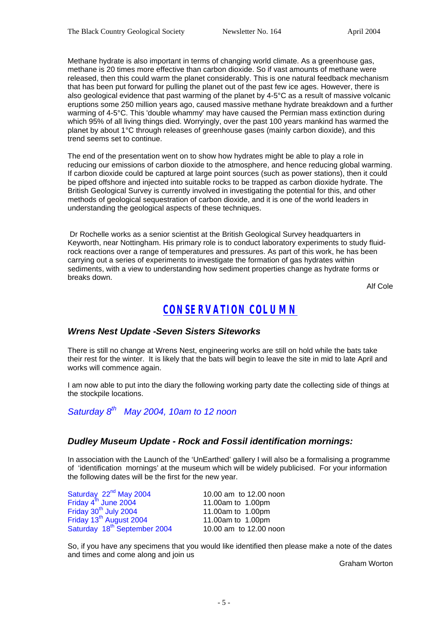Methane hydrate is also important in terms of changing world climate. As a greenhouse gas, methane is 20 times more effective than carbon dioxide. So if vast amounts of methane were released, then this could warm the planet considerably. This is one natural feedback mechanism that has been put forward for pulling the planet out of the past few ice ages. However, there is also geological evidence that past warming of the planet by 4-5°C as a result of massive volcanic eruptions some 250 million years ago, caused massive methane hydrate breakdown and a further warming of 4-5°C. This 'double whammy' may have caused the Permian mass extinction during which 95% of all living things died. Worryingly, over the past 100 years mankind has warmed the planet by about 1°C through releases of greenhouse gases (mainly carbon dioxide), and this trend seems set to continue.

The end of the presentation went on to show how hydrates might be able to play a role in reducing our emissions of carbon dioxide to the atmosphere, and hence reducing global warming. If carbon dioxide could be captured at large point sources (such as power stations), then it could be piped offshore and injected into suitable rocks to be trapped as carbon dioxide hydrate. The British Geological Survey is currently involved in investigating the potential for this, and other methods of geological sequestration of carbon dioxide, and it is one of the world leaders in understanding the geological aspects of these techniques.

 Dr Rochelle works as a senior scientist at the British Geological Survey headquarters in Keyworth, near Nottingham. His primary role is to conduct laboratory experiments to study fluidrock reactions over a range of temperatures and pressures. As part of this work, he has been carrying out a series of experiments to investigate the formation of gas hydrates within sediments, with a view to understanding how sediment properties change as hydrate forms or breaks down.

Alf Cole

# *CONSERVATION COLUMN*

#### *Wrens Nest Update -Seven Sisters Siteworks*

There is still no change at Wrens Nest, engineering works are still on hold while the bats take their rest for the winter. It is likely that the bats will begin to leave the site in mid to late April and works will commence again.

I am now able to put into the diary the following working party date the collecting side of things at the stockpile locations.

*Saturday 8th May 2004, 10am to 12 noon*

#### *Dudley Museum Update - Rock and Fossil identification mornings:*

In association with the Launch of the 'UnEarthed' gallery I will also be a formalising a programme of 'identification mornings' at the museum which will be widely publicised. For your information the following dates will be the first for the new year.

| Saturday 22 <sup>nd</sup> May 2004       | 10.00 am to 12.00 noon |
|------------------------------------------|------------------------|
| Friday 4th June 2004                     | 11.00am to 1.00pm      |
| Friday 30 <sup>th</sup> July 2004        | 11.00am to 1.00pm      |
| Friday 13 <sup>th</sup> August 2004      | 11.00am to 1.00pm      |
| Saturday 18 <sup>th</sup> September 2004 | 10.00 am to 12.00 noon |

So, if you have any specimens that you would like identified then please make a note of the dates and times and come along and join us

Graham Worton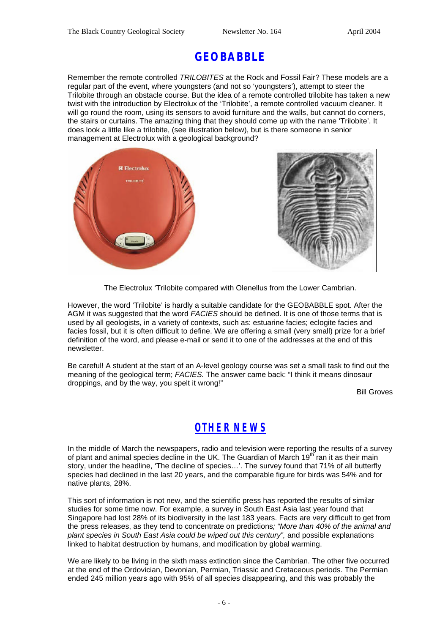# **GEOBABBLE**

Remember the remote controlled *TRILOBITES* at the Rock and Fossil Fair? These models are a regular part of the event, where youngsters (and not so 'youngsters'), attempt to steer the Trilobite through an obstacle course. But the idea of a remote controlled trilobite has taken a new twist with the introduction by Electrolux of the 'Trilobite', a remote controlled vacuum cleaner. It will go round the room, using its sensors to avoid furniture and the walls, but cannot do corners, the stairs or curtains. The amazing thing that they should come up with the name 'Trilobite'. It does look a little like a trilobite, (see illustration below), but is there someone in senior management at Electrolux with a geological background?



The Electrolux 'Trilobite compared with Olenellus from the Lower Cambrian.

However, the word 'Trilobite' is hardly a suitable candidate for the GEOBABBLE spot. After the AGM it was suggested that the word *FACIES* should be defined. It is one of those terms that is used by all geologists, in a variety of contexts, such as: estuarine facies; eclogite facies and facies fossil, but it is often difficult to define. We are offering a small (very small) prize for a brief definition of the word, and please e-mail or send it to one of the addresses at the end of this newsletter.

Be careful! A student at the start of an A-level geology course was set a small task to find out the meaning of the geological term; *FACIES.* The answer came back: "I think it means dinosaur droppings, and by the way, you spelt it wrong!"

Bill Groves

# *OTHER NEWS*

In the middle of March the newspapers, radio and television were reporting the results of a survey of plant and animal species decline in the UK. The Guardian of March  $19<sup>th</sup>$  ran it as their main story, under the headline, 'The decline of species…'. The survey found that 71% of all butterfly species had declined in the last 20 years, and the comparable figure for birds was 54% and for native plants, 28%.

This sort of information is not new, and the scientific press has reported the results of similar studies for some time now. For example, a survey in South East Asia last year found that Singapore had lost 28% of its biodiversity in the last 183 years. Facts are very difficult to get from the press releases, as they tend to concentrate on predictions*; "More than 40% of the animal and plant species in South East Asia could be wiped out this century",* and possible explanations linked to habitat destruction by humans, and modification by global warming.

We are likely to be living in the sixth mass extinction since the Cambrian. The other five occurred at the end of the Ordovician, Devonian, Permian, Triassic and Cretaceous periods. The Permian ended 245 million years ago with 95% of all species disappearing, and this was probably the